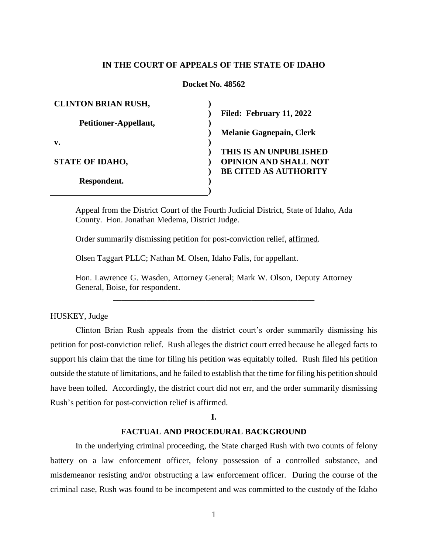# **IN THE COURT OF APPEALS OF THE STATE OF IDAHO**

# **Docket No. 48562**

| <b>CLINTON BRIAN RUSH,</b> |                                 |
|----------------------------|---------------------------------|
|                            | Filed: February 11, 2022        |
| Petitioner-Appellant,      |                                 |
|                            | <b>Melanie Gagnepain, Clerk</b> |
| v.                         |                                 |
|                            | THIS IS AN UNPUBLISHED          |
| <b>STATE OF IDAHO,</b>     | <b>OPINION AND SHALL NOT</b>    |
|                            | <b>BE CITED AS AUTHORITY</b>    |
| Respondent.                |                                 |
|                            |                                 |

Appeal from the District Court of the Fourth Judicial District, State of Idaho, Ada County. Hon. Jonathan Medema, District Judge.

Order summarily dismissing petition for post-conviction relief, affirmed.

Olsen Taggart PLLC; Nathan M. Olsen, Idaho Falls, for appellant.

Hon. Lawrence G. Wasden, Attorney General; Mark W. Olson, Deputy Attorney General, Boise, for respondent. \_\_\_\_\_\_\_\_\_\_\_\_\_\_\_\_\_\_\_\_\_\_\_\_\_\_\_\_\_\_\_\_\_\_\_\_\_\_\_\_\_\_\_\_\_\_\_\_

## HUSKEY, Judge

Clinton Brian Rush appeals from the district court's order summarily dismissing his petition for post-conviction relief. Rush alleges the district court erred because he alleged facts to support his claim that the time for filing his petition was equitably tolled. Rush filed his petition outside the statute of limitations, and he failed to establish that the time for filing his petition should have been tolled. Accordingly, the district court did not err, and the order summarily dismissing Rush's petition for post-conviction relief is affirmed.

### **I.**

### **FACTUAL AND PROCEDURAL BACKGROUND**

In the underlying criminal proceeding, the State charged Rush with two counts of felony battery on a law enforcement officer, felony possession of a controlled substance, and misdemeanor resisting and/or obstructing a law enforcement officer. During the course of the criminal case, Rush was found to be incompetent and was committed to the custody of the Idaho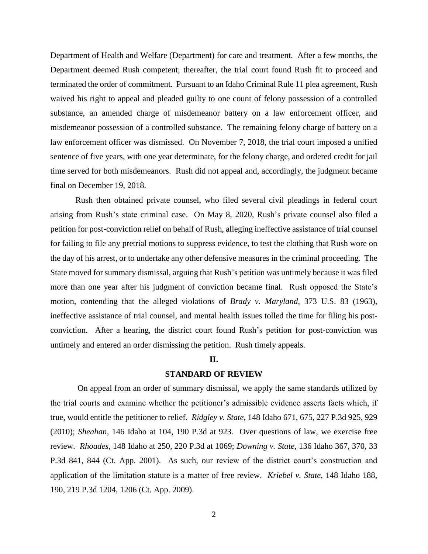Department of Health and Welfare (Department) for care and treatment. After a few months, the Department deemed Rush competent; thereafter, the trial court found Rush fit to proceed and terminated the order of commitment. Pursuant to an Idaho Criminal Rule 11 plea agreement, Rush waived his right to appeal and pleaded guilty to one count of felony possession of a controlled substance, an amended charge of misdemeanor battery on a law enforcement officer, and misdemeanor possession of a controlled substance. The remaining felony charge of battery on a law enforcement officer was dismissed. On November 7, 2018, the trial court imposed a unified sentence of five years, with one year determinate, for the felony charge, and ordered credit for jail time served for both misdemeanors. Rush did not appeal and, accordingly, the judgment became final on December 19, 2018.

Rush then obtained private counsel, who filed several civil pleadings in federal court arising from Rush's state criminal case. On May 8, 2020, Rush's private counsel also filed a petition for post-conviction relief on behalf of Rush, alleging ineffective assistance of trial counsel for failing to file any pretrial motions to suppress evidence, to test the clothing that Rush wore on the day of his arrest, or to undertake any other defensive measures in the criminal proceeding. The State moved for summary dismissal, arguing that Rush's petition was untimely because it was filed more than one year after his judgment of conviction became final. Rush opposed the State's motion, contending that the alleged violations of *Brady v. Maryland*, 373 U.S. 83 (1963), ineffective assistance of trial counsel, and mental health issues tolled the time for filing his postconviction. After a hearing, the district court found Rush's petition for post-conviction was untimely and entered an order dismissing the petition. Rush timely appeals.

## **II.**

# **STANDARD OF REVIEW**

On appeal from an order of summary dismissal, we apply the same standards utilized by the trial courts and examine whether the petitioner's admissible evidence asserts facts which, if true, would entitle the petitioner to relief. *Ridgley v. State*, 148 Idaho 671, 675, 227 P.3d 925, 929 (2010); *Sheahan*, 146 Idaho at 104, 190 P.3d at 923. Over questions of law, we exercise free review. *Rhoades*, 148 Idaho at 250, 220 P.3d at 1069; *Downing v. State*, 136 Idaho 367, 370, 33 P.3d 841, 844 (Ct. App. 2001). As such, our review of the district court's construction and application of the limitation statute is a matter of free review. *Kriebel v. State*, 148 Idaho 188, 190, 219 P.3d 1204, 1206 (Ct. App. 2009).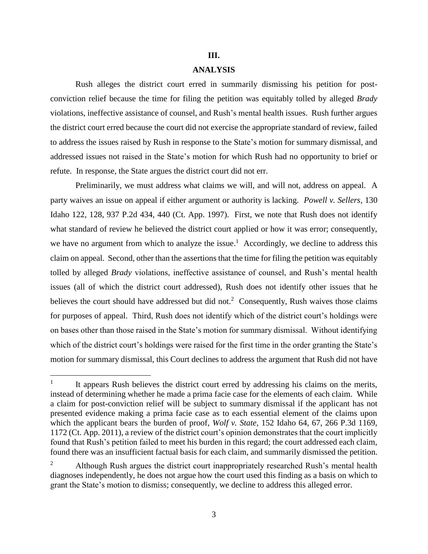### **III.**

# **ANALYSIS**

Rush alleges the district court erred in summarily dismissing his petition for postconviction relief because the time for filing the petition was equitably tolled by alleged *Brady* violations, ineffective assistance of counsel, and Rush's mental health issues. Rush further argues the district court erred because the court did not exercise the appropriate standard of review, failed to address the issues raised by Rush in response to the State's motion for summary dismissal, and addressed issues not raised in the State's motion for which Rush had no opportunity to brief or refute. In response, the State argues the district court did not err.

Preliminarily, we must address what claims we will, and will not, address on appeal. A party waives an issue on appeal if either argument or authority is lacking. *Powell v. Sellers*, 130 Idaho 122, 128, 937 P.2d 434, 440 (Ct. App. 1997). First, we note that Rush does not identify what standard of review he believed the district court applied or how it was error; consequently, we have no argument from which to analyze the issue.<sup>1</sup> Accordingly, we decline to address this claim on appeal. Second, other than the assertions that the time for filing the petition was equitably tolled by alleged *Brady* violations, ineffective assistance of counsel, and Rush's mental health issues (all of which the district court addressed), Rush does not identify other issues that he believes the court should have addressed but did not.<sup>2</sup> Consequently, Rush waives those claims for purposes of appeal. Third, Rush does not identify which of the district court's holdings were on bases other than those raised in the State's motion for summary dismissal. Without identifying which of the district court's holdings were raised for the first time in the order granting the State's motion for summary dismissal, this Court declines to address the argument that Rush did not have

<sup>1</sup> It appears Rush believes the district court erred by addressing his claims on the merits, instead of determining whether he made a prima facie case for the elements of each claim. While a claim for post-conviction relief will be subject to summary dismissal if the applicant has not presented evidence making a prima facie case as to each essential element of the claims upon which the applicant bears the burden of proof, *Wolf v. State*, 152 Idaho 64, 67, 266 P.3d 1169, 1172 (Ct. App. 2011), a review of the district court's opinion demonstrates that the court implicitly found that Rush's petition failed to meet his burden in this regard; the court addressed each claim, found there was an insufficient factual basis for each claim, and summarily dismissed the petition.

<sup>2</sup> Although Rush argues the district court inappropriately researched Rush's mental health diagnoses independently, he does not argue how the court used this finding as a basis on which to grant the State's motion to dismiss; consequently, we decline to address this alleged error.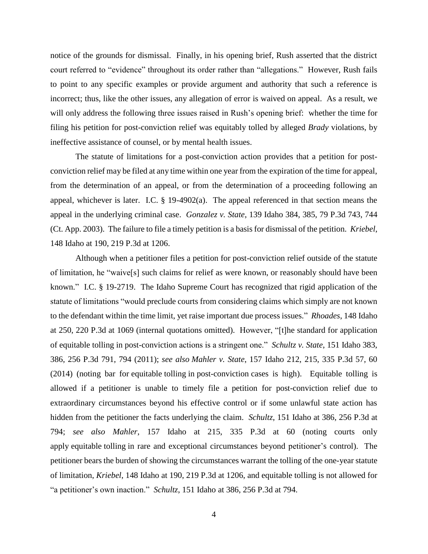notice of the grounds for dismissal. Finally, in his opening brief, Rush asserted that the district court referred to "evidence" throughout its order rather than "allegations." However, Rush fails to point to any specific examples or provide argument and authority that such a reference is incorrect; thus, like the other issues, any allegation of error is waived on appeal. As a result, we will only address the following three issues raised in Rush's opening brief: whether the time for filing his petition for post-conviction relief was equitably tolled by alleged *Brady* violations, by ineffective assistance of counsel, or by mental health issues.

The statute of limitations for a post-conviction action provides that a petition for postconviction relief may be filed at any time within one year from the expiration of the time for appeal, from the determination of an appeal, or from the determination of a proceeding following an appeal, whichever is later. I.C. § 19-4902(a). The appeal referenced in that section means the appeal in the underlying criminal case. *Gonzalez v. State*, 139 Idaho 384, 385, 79 P.3d 743, 744 (Ct. App. 2003). The failure to file a timely petition is a basis for dismissal of the petition. *Kriebel*, 148 Idaho at 190, 219 P.3d at 1206.

Although when a petitioner files a petition for post-conviction relief outside of the statute of limitation, he "waive[s] such claims for relief as were known, or reasonably should have been known." I.C. § 19-2719. The Idaho Supreme Court has recognized that rigid application of the statute of limitations "would preclude courts from considering claims which simply are not known to the defendant within the time limit, yet raise important due process issues." *Rhoades*, 148 Idaho at 250, 220 P.3d at 1069 (internal quotations omitted). However, "[t]he standard for application of equitable tolling in post-conviction actions is a stringent one." *Schultz v. State*, 151 Idaho 383, 386, 256 P.3d 791, 794 (2011); *see also Mahler v. State*, 157 Idaho 212, 215, 335 P.3d 57, 60 (2014) (noting bar for equitable tolling in post-conviction cases is high). Equitable tolling is allowed if a petitioner is unable to timely file a petition for post-conviction relief due to extraordinary circumstances beyond his effective control or if some unlawful state action has hidden from the petitioner the facts underlying the claim. *Schultz*, 151 Idaho at 386, 256 P.3d at 794; *see also Mahler*, 157 Idaho at 215, 335 P.3d at 60 (noting courts only apply equitable tolling in rare and exceptional circumstances beyond petitioner's control). The petitioner bears the burden of showing the circumstances warrant the tolling of the one-year statute of limitation, *Kriebel*, 148 Idaho at 190, 219 P.3d at 1206, and equitable tolling is not allowed for "a petitioner's own inaction." *Schultz*, 151 Idaho at 386, 256 P.3d at 794.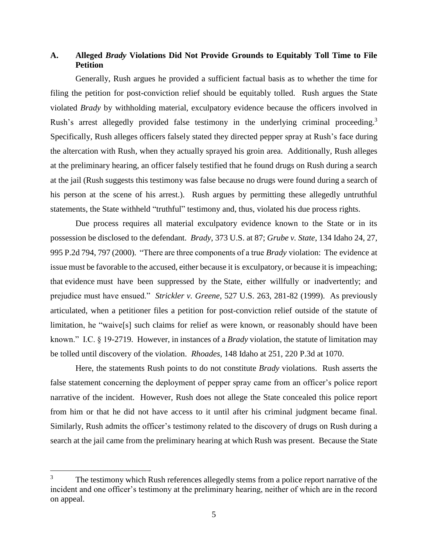# **A. Alleged** *Brady* **Violations Did Not Provide Grounds to Equitably Toll Time to File Petition**

Generally, Rush argues he provided a sufficient factual basis as to whether the time for filing the petition for post-conviction relief should be equitably tolled. Rush argues the State violated *Brady* by withholding material, exculpatory evidence because the officers involved in Rush's arrest allegedly provided false testimony in the underlying criminal proceeding.<sup>3</sup> Specifically, Rush alleges officers falsely stated they directed pepper spray at Rush's face during the altercation with Rush, when they actually sprayed his groin area. Additionally, Rush alleges at the preliminary hearing, an officer falsely testified that he found drugs on Rush during a search at the jail (Rush suggests this testimony was false because no drugs were found during a search of his person at the scene of his arrest.). Rush argues by permitting these allegedly untruthful statements, the State withheld "truthful" testimony and, thus, violated his due process rights.

Due process requires all material exculpatory evidence known to the State or in its possession be disclosed to the defendant. *Brady*, 373 U.S. at 87; *Grube v. State*, 134 Idaho 24, 27, 995 P.2d 794, 797 (2000). "There are three components of a true *Brady* violation: The evidence at issue must be favorable to the accused, either because it is exculpatory, or because it is impeaching; that evidence must have been suppressed by the State, either willfully or inadvertently; and prejudice must have ensued." *Strickler v. Greene*, 527 U.S. 263, 281-82 (1999). As previously articulated, when a petitioner files a petition for post-conviction relief outside of the statute of limitation, he "waive[s] such claims for relief as were known, or reasonably should have been known." I.C. § 19-2719. However, in instances of a *Brady* violation, the statute of limitation may be tolled until discovery of the violation. *Rhoades*, 148 Idaho at 251, 220 P.3d at 1070.

Here, the statements Rush points to do not constitute *Brady* violations. Rush asserts the false statement concerning the deployment of pepper spray came from an officer's police report narrative of the incident. However, Rush does not allege the State concealed this police report from him or that he did not have access to it until after his criminal judgment became final. Similarly, Rush admits the officer's testimony related to the discovery of drugs on Rush during a search at the jail came from the preliminary hearing at which Rush was present. Because the State

<sup>&</sup>lt;sup>3</sup> The testimony which Rush references allegedly stems from a police report narrative of the incident and one officer's testimony at the preliminary hearing, neither of which are in the record on appeal.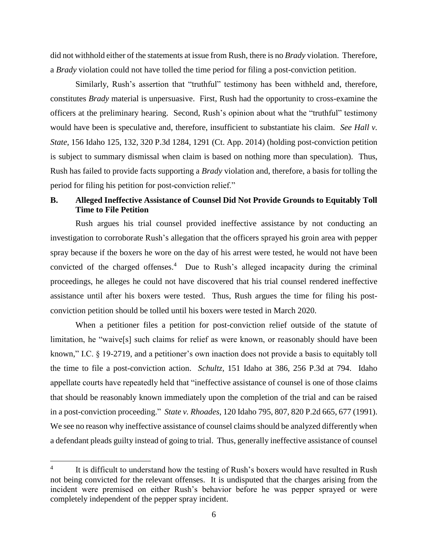did not withhold either of the statements at issue from Rush, there is no *Brady* violation. Therefore, a *Brady* violation could not have tolled the time period for filing a post-conviction petition.

Similarly, Rush's assertion that "truthful" testimony has been withheld and, therefore, constitutes *Brady* material is unpersuasive. First, Rush had the opportunity to cross-examine the officers at the preliminary hearing. Second, Rush's opinion about what the "truthful" testimony would have been is speculative and, therefore, insufficient to substantiate his claim. *See Hall v. State*, 156 Idaho 125, 132, 320 P.3d 1284, 1291 (Ct. App. 2014) (holding post-conviction petition is subject to summary dismissal when claim is based on nothing more than speculation). Thus, Rush has failed to provide facts supporting a *Brady* violation and, therefore, a basis for tolling the period for filing his petition for post-conviction relief."

# **B. Alleged Ineffective Assistance of Counsel Did Not Provide Grounds to Equitably Toll Time to File Petition**

Rush argues his trial counsel provided ineffective assistance by not conducting an investigation to corroborate Rush's allegation that the officers sprayed his groin area with pepper spray because if the boxers he wore on the day of his arrest were tested, he would not have been convicted of the charged offenses. 4 Due to Rush's alleged incapacity during the criminal proceedings, he alleges he could not have discovered that his trial counsel rendered ineffective assistance until after his boxers were tested. Thus, Rush argues the time for filing his postconviction petition should be tolled until his boxers were tested in March 2020.

When a petitioner files a petition for post-conviction relief outside of the statute of limitation, he "waive<sup>[5]</sup> such claims for relief as were known, or reasonably should have been known," I.C. § 19-2719, and a petitioner's own inaction does not provide a basis to equitably toll the time to file a post-conviction action. *Schultz*, 151 Idaho at 386, 256 P.3d at 794. Idaho appellate courts have repeatedly held that "ineffective assistance of counsel is one of those claims that should be reasonably known immediately upon the completion of the trial and can be raised in a post-conviction proceeding." *State v. Rhoades*, 120 Idaho 795, 807, 820 P.2d 665, 677 (1991). We see no reason why ineffective assistance of counsel claims should be analyzed differently when a defendant pleads guilty instead of going to trial. Thus, generally ineffective assistance of counsel

<sup>4</sup> It is difficult to understand how the testing of Rush's boxers would have resulted in Rush not being convicted for the relevant offenses. It is undisputed that the charges arising from the incident were premised on either Rush's behavior before he was pepper sprayed or were completely independent of the pepper spray incident.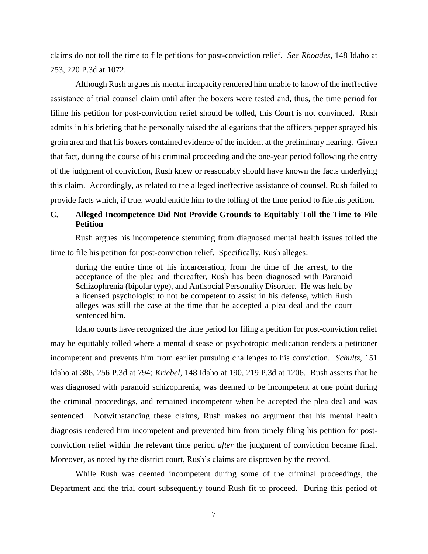claims do not toll the time to file petitions for post-conviction relief. *See Rhoades*, 148 Idaho at 253, 220 P.3d at 1072.

Although Rush argues his mental incapacity rendered him unable to know of the ineffective assistance of trial counsel claim until after the boxers were tested and, thus, the time period for filing his petition for post-conviction relief should be tolled, this Court is not convinced. Rush admits in his briefing that he personally raised the allegations that the officers pepper sprayed his groin area and that his boxers contained evidence of the incident at the preliminary hearing. Given that fact, during the course of his criminal proceeding and the one-year period following the entry of the judgment of conviction, Rush knew or reasonably should have known the facts underlying this claim. Accordingly, as related to the alleged ineffective assistance of counsel, Rush failed to provide facts which, if true, would entitle him to the tolling of the time period to file his petition.

# **C. Alleged Incompetence Did Not Provide Grounds to Equitably Toll the Time to File Petition**

Rush argues his incompetence stemming from diagnosed mental health issues tolled the time to file his petition for post-conviction relief. Specifically, Rush alleges:

during the entire time of his incarceration, from the time of the arrest, to the acceptance of the plea and thereafter, Rush has been diagnosed with Paranoid Schizophrenia (bipolar type), and Antisocial Personality Disorder. He was held by a licensed psychologist to not be competent to assist in his defense, which Rush alleges was still the case at the time that he accepted a plea deal and the court sentenced him.

Idaho courts have recognized the time period for filing a petition for post-conviction relief may be equitably tolled where a mental disease or psychotropic medication renders a petitioner incompetent and prevents him from earlier pursuing challenges to his conviction. *Schultz*, 151 Idaho at 386, 256 P.3d at 794; *Kriebel*, 148 Idaho at 190, 219 P.3d at 1206. Rush asserts that he was diagnosed with paranoid schizophrenia, was deemed to be incompetent at one point during the criminal proceedings, and remained incompetent when he accepted the plea deal and was sentenced. Notwithstanding these claims, Rush makes no argument that his mental health diagnosis rendered him incompetent and prevented him from timely filing his petition for postconviction relief within the relevant time period *after* the judgment of conviction became final. Moreover, as noted by the district court, Rush's claims are disproven by the record.

While Rush was deemed incompetent during some of the criminal proceedings, the Department and the trial court subsequently found Rush fit to proceed. During this period of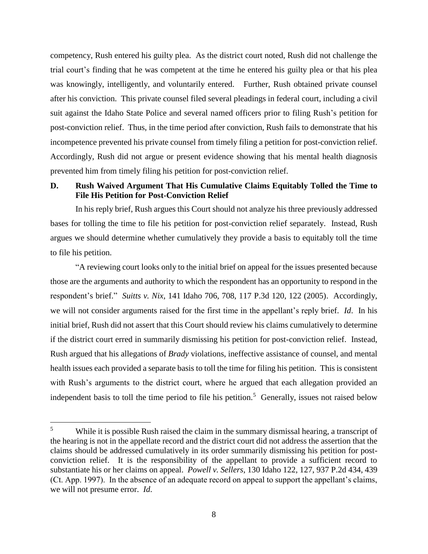competency, Rush entered his guilty plea. As the district court noted, Rush did not challenge the trial court's finding that he was competent at the time he entered his guilty plea or that his plea was knowingly, intelligently, and voluntarily entered. Further, Rush obtained private counsel after his conviction. This private counsel filed several pleadings in federal court, including a civil suit against the Idaho State Police and several named officers prior to filing Rush's petition for post-conviction relief. Thus, in the time period after conviction, Rush fails to demonstrate that his incompetence prevented his private counsel from timely filing a petition for post-conviction relief. Accordingly, Rush did not argue or present evidence showing that his mental health diagnosis prevented him from timely filing his petition for post-conviction relief.

# **D. Rush Waived Argument That His Cumulative Claims Equitably Tolled the Time to File His Petition for Post-Conviction Relief**

In his reply brief, Rush argues this Court should not analyze his three previously addressed bases for tolling the time to file his petition for post-conviction relief separately. Instead, Rush argues we should determine whether cumulatively they provide a basis to equitably toll the time to file his petition.

"A reviewing court looks only to the initial brief on appeal for the issues presented because those are the arguments and authority to which the respondent has an opportunity to respond in the respondent's brief." *Suitts v. Nix*, 141 Idaho 706, 708, 117 P.3d 120, 122 (2005). Accordingly, we will not consider arguments raised for the first time in the appellant's reply brief. *Id*. In his initial brief, Rush did not assert that this Court should review his claims cumulatively to determine if the district court erred in summarily dismissing his petition for post-conviction relief. Instead, Rush argued that his allegations of *Brady* violations, ineffective assistance of counsel, and mental health issues each provided a separate basis to toll the time for filing his petition. This is consistent with Rush's arguments to the district court, where he argued that each allegation provided an independent basis to toll the time period to file his petition.<sup>5</sup> Generally, issues not raised below

<sup>&</sup>lt;sup>5</sup> While it is possible Rush raised the claim in the summary dismissal hearing, a transcript of the hearing is not in the appellate record and the district court did not address the assertion that the claims should be addressed cumulatively in its order summarily dismissing his petition for postconviction relief. It is the responsibility of the appellant to provide a sufficient record to substantiate his or her claims on appeal. *Powell v. Sellers*, 130 Idaho 122, 127, 937 P.2d 434, 439 (Ct. App. 1997). In the absence of an adequate record on appeal to support the appellant's claims, we will not presume error. *Id*.